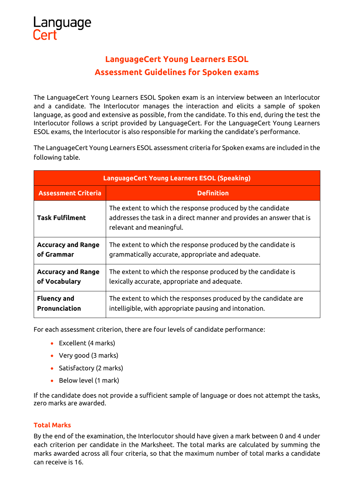## **LanguageCert Young Learners ESOL Assessment Guidelines for Spoken exams**

The LanguageCert Young Learners ESOL Spoken exam is an interview between an Interlocutor and a candidate. The Interlocutor manages the interaction and elicits a sample of spoken language, as good and extensive as possible, from the candidate. To this end, during the test the Interlocutor follows a script provided by LanguageCert. For the LanguageCert Young Learners ESOL exams, the Interlocutor is also responsible for marking the candidate's performance.

The LanguageCert Young Learners ESOL assessment criteria for Spoken exams are included in the following table.

| <b>LanguageCert Young Learners ESOL (Speaking)</b> |                                                                                                                                                                |  |  |  |  |  |
|----------------------------------------------------|----------------------------------------------------------------------------------------------------------------------------------------------------------------|--|--|--|--|--|
| <b>Assessment Criteria</b>                         | <b>Definition</b>                                                                                                                                              |  |  |  |  |  |
| <b>Task Fulfilment</b>                             | The extent to which the response produced by the candidate<br>addresses the task in a direct manner and provides an answer that is<br>relevant and meaningful. |  |  |  |  |  |
| <b>Accuracy and Range</b>                          | The extent to which the response produced by the candidate is                                                                                                  |  |  |  |  |  |
| of Grammar                                         | grammatically accurate, appropriate and adequate.                                                                                                              |  |  |  |  |  |
| <b>Accuracy and Range</b>                          | The extent to which the response produced by the candidate is                                                                                                  |  |  |  |  |  |
| of Vocabulary                                      | lexically accurate, appropriate and adequate.                                                                                                                  |  |  |  |  |  |
| <b>Fluency and</b>                                 | The extent to which the responses produced by the candidate are                                                                                                |  |  |  |  |  |
| Pronunciation                                      | intelligible, with appropriate pausing and intonation.                                                                                                         |  |  |  |  |  |

For each assessment criterion, there are four levels of candidate performance:

- Excellent (4 marks)
- Very good (3 marks)
- Satisfactory (2 marks)
- Below level (1 mark)

If the candidate does not provide a sufficient sample of language or does not attempt the tasks, zero marks are awarded.

## **Total Marks**

By the end of the examination, the Interlocutor should have given a mark between 0 and 4 under each criterion per candidate in the Marksheet. The total marks are calculated by summing the marks awarded across all four criteria, so that the maximum number of total marks a candidate can receive is 16.